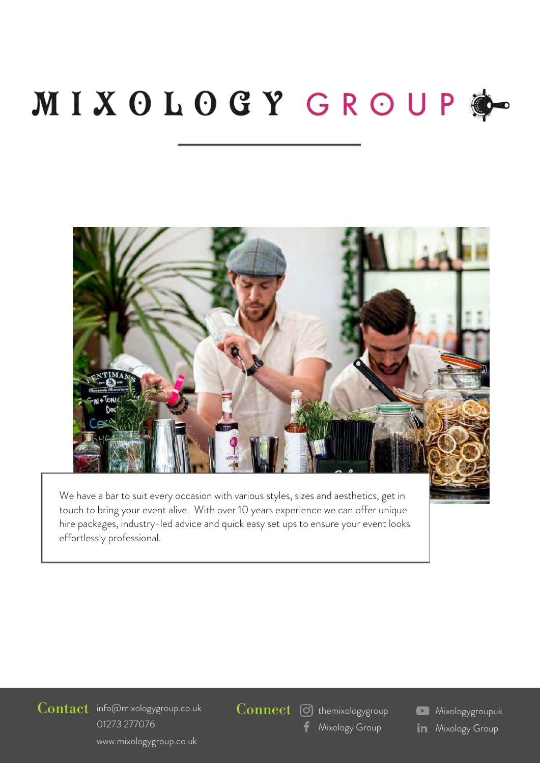# MIXOLOGY GROUP



We have a bar to suit every occasion with various styles, sizes and aesthetics, get in touch to bring your event alive. With over 10 years experience we can offer unique hire packages, industry-led advice and quick easy set ups to ensure your event looks effortlessly professional.

Contact info@mixologygroup.co.uk 01273 [277076](http://www.mixologygroup.co.uk/) www.mixologygroup.co.uk

 $\overline{\text{Connect}}$   $\overline{\text{O}}$  themixologygroup

[Mixology Group](mailto:info@mixologygroup.co.uk)

**Mixologygroupuk in** Mixology Group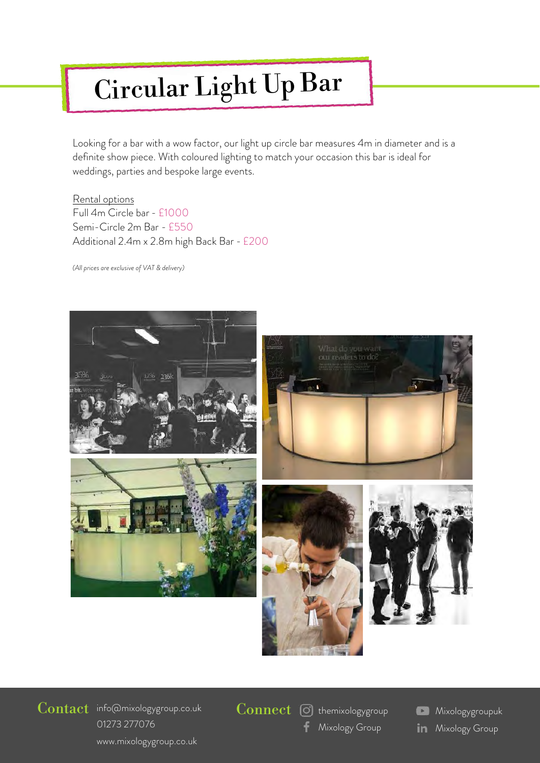## Circular Light Up Bar

Looking for a bar with a wow factor, our light up circle bar measures 4m in diameter and is a definite show piece. With coloured lighting to match your occasion this bar is ideal for weddings, parties and bespoke large events.Rfgq pgqqsgr cdmpn prgcqufgafpcosgpc 1kgvm megqrq dmprfcds agpa c,0 cfglbrfcqckgagpa c, cfglbrfcqgle c p,

Rental options Full 4m Circle bar - £1000 Semi-Circle 2m Bar - £550 Additional 2.4m x 2.8m high Back Bar - £200

gle c gefrsn  $,3$  kv, k p 0..







Contact info@mixologygroup.co.uk 01273 [277076](http://www.mixologygroup.co.uk/) www.mixologygroup.co.uk

 $Connect$   $\odot$  themixologygroup

[Mixology Group](mailto:info@mixologygroup.co.uk)

**Mixologygroupuk in** Mixology Group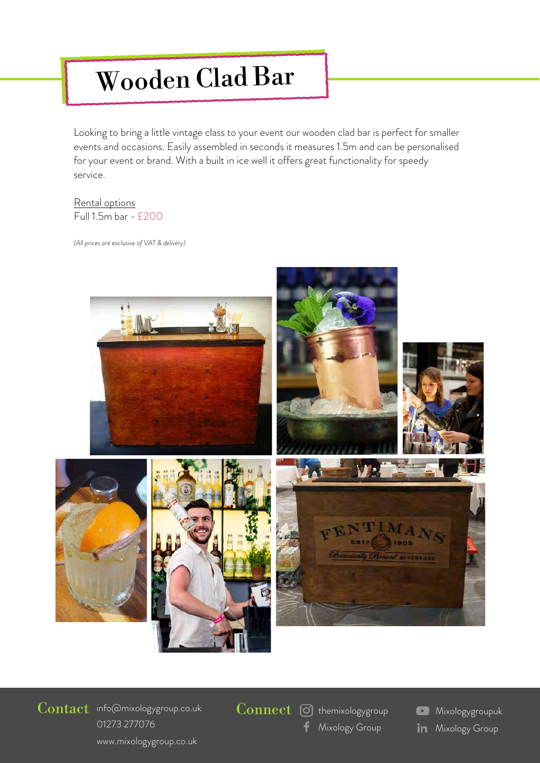### Wooden Clad Bar

Looking to bring a little vintage class to your event our wooden clad bar is perfect for smaller events and occasions. Easily assembled in seconds it measures 1.5m and can be personalised for your event or brand. With a built in ice well it offers great functionality for speedy service. This bar is suitable for parties which require 1 mixologist.

#### Rental options Full 1.5m bar - £200

*(All prices are exclusive of VAT & delivery)*



### Contact info@mixologygroup.co.uk 01273 [277076](http://www.mixologygroup.co.uk/) www.mixologygroup.co.uk

 $Connect$   $\odot$  themixologygroup

- [Mixology Group](mailto:info@mixologygroup.co.uk)
- **Mixologygroupuk in** Mixology Group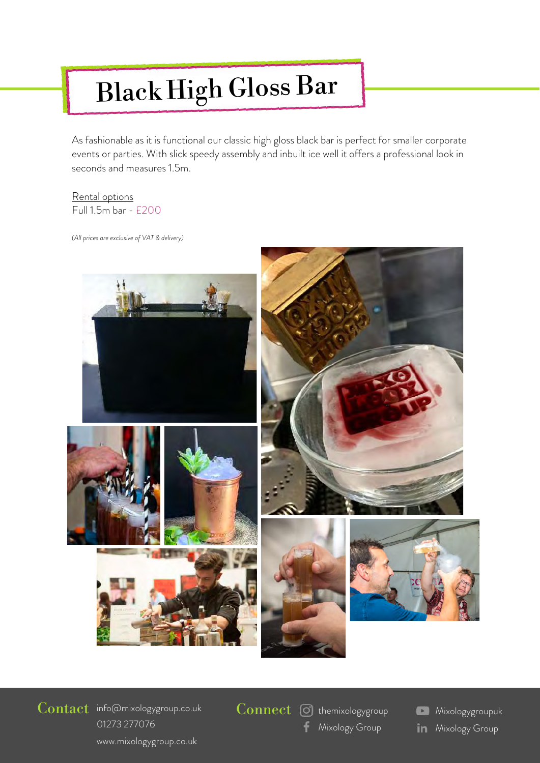#### *e:* info@mixologygroup.co.uk h (*ilos* Black High Gloss Bar

As fashionable as it is functional our classic high gloss black bar is perfect for smaller corporate events or parties. With slick speedy assembly and inbuilt ice well it offers a professional look in seconds and measures 1.5m. This bar is suitable for parties which require 1 mixologist.

#### Rental options Full 1.5m bar - £200

*(All prices are exclusive of VAT & delivery)*



### Contact info@mixologygroup.co.uk 01273 [277076](http://www.mixologygroup.co.uk/) www.mixologygroup.co.uk

 $\overline{\text{Connect}}$   $\boxed{\odot}$  themixologygroup

[Mixology Group](mailto:info@mixologygroup.co.uk)

**Mixologygroupuk in** Mixology Group